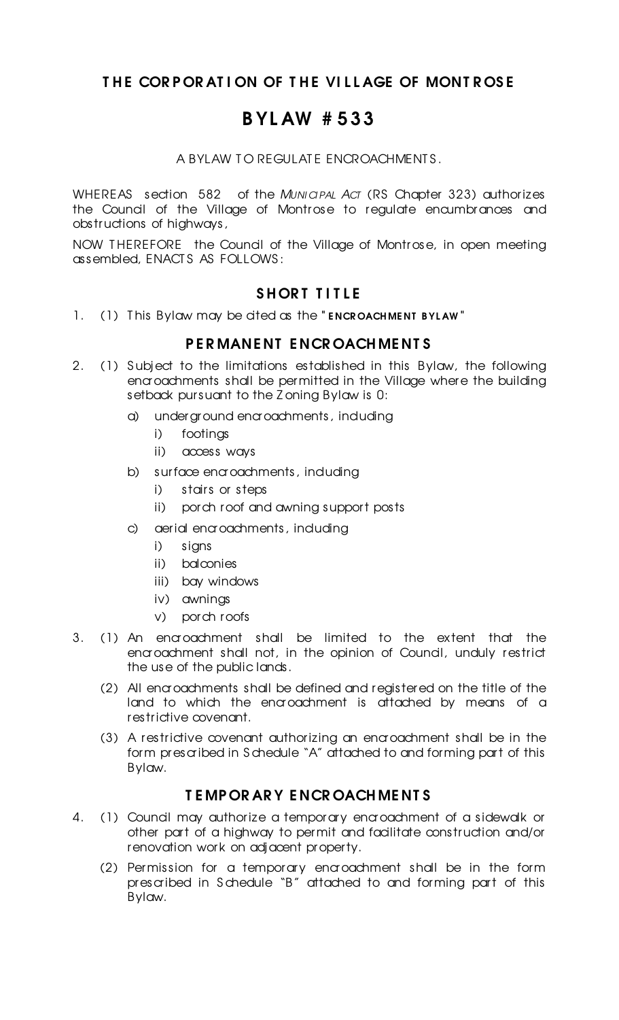# THE CORPORATION OF THE VILLAGE OF MONTROSE

# B YL AW # 533

A BYLAW TO REGULATE ENCROACHMENTS.

WHEREAS section 582 of the *MUNICIPAL ACT* (RS Chapter 323) authorizes the Council of the Village of Montrose to regulate encumbrances and obstructions of highways,

NOW THEREFORE the Council of the Village of Montrose, in open meeting assembled, ENACT S AS FOLLOWS :

## SHORT TITLE

1. (1) This Bylaw may be cited as the "ENCROACHMENT BYLAW"

### P E R MANE NT E NCR OACH ME NT S

- 2. (1) Subject to the limitations established in this Bylaw, the following encroachments shall be permitted in the Village where the building setback pursuant to the Z oning Bylaw is 0:
	- a) underground encroachments, including
		- i) footings
		- ii) access ways
	- b) surface encroachments, induding
		- i) stairs or steps
		- ii) porch roof and awning support posts
	- c) aerial encroachments, induding
		- i) signs
		- ii) balconies
		- iii) bay windows
		- iv) awnings
		- v) porch roofs
- 3. (1) An encroachment shall be limited to the extent that the encroachment shall not, in the opinion of Council, unduly restrict the use of the public lands.
	- (2) All encroachments shall be defined and registered on the title of the land to which the encroachment is attached by means of a restrictive covenant.
	- (3) A restrictive covenant authorizing an encroachment shall be in the form prescribed in S chedule "A" attached to and forming part of this Bylaw.

# T E MP OR AR Y E NCR OACH ME NT S

- 4. (1) Council may authorize a temporary encroachment of a sidewalk or other part of a highway to permit and facilitate construction and/or renovation work on adjacent property.
	- (2) Permission for a temporary encroachment shall be in the form prescribed in S chedule "B" attached to and forming part of this Bylaw.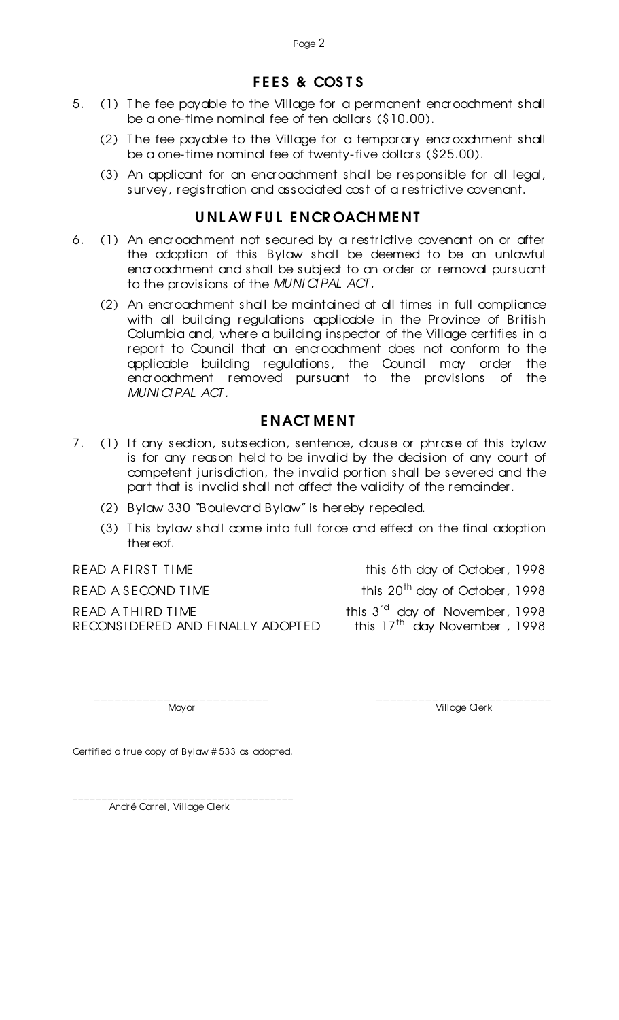# FEES & COSTS

- 5. (1) The fee payable to the Village for a permanent encroachment shall be a one-time nominal fee of ten dollars (\$10.00).
	- (2) T he fee payable to the Village for a temporary encroachment shall be a one-time nominal fee of twenty-five dollars (\$25.00).
	- (3) An applicant for an encroachment shall be responsible for all legal, survey, registration and associated cost of a restrictive covenant.

## U NL AW F U L E NCR OACH ME NT

- 6. (1) An encroachment not secured by a restrictive covenant on or after the adoption of this Bylaw shall be deemed to be an unlawful encroachment and shall be subject to an order or removal pursuant to the provisions of the *MUNI CI PAL ACT .*
	- (2) An encroachment shall be maintained at all times in full compliance with all building regulations applicable in the Province of British Columbia and, where a building inspector of the Village certifies in a report to Council that an encroachment does not conform to the applicable building regulations, the Council may order the encroachment removed pursuant to the provisions of the *MUNI CI PAL ACT .*

### E NACT ME NT

- 7. (1) If any section, subsection, sentence, dause or phrase of this bylaw is for any reason held to be invalid by the decision of any court of competent jurisdiction, the invalid portion shall be severed and the part that is invalid shall not affect the validity of the remainder.
	- (2) Bylaw 330 "Boulevard Bylaw" is hereby repealed.
	- (3) T his bylaw shall come into full force and effect on the final adoption thereof.

READ A THIRD TIME RECONS I DERED AND FINALLY ADOPTED

READ A FIRST TIME **this 6th day of October, 1998** READ A SECOND TIME  $\frac{1998}{1000}$ 

> <sup>rd</sup> day of November, 1998 this 17<sup>th</sup> day November, 1998

\_\_\_\_\_\_\_\_\_\_\_\_\_\_\_\_\_\_\_\_\_\_\_\_\_ \_\_\_\_\_\_\_\_\_\_\_\_\_\_\_\_\_\_\_\_\_\_\_\_\_ Mayor **Mayor** Village Clerk

Certified a true copy of Bylaw # 533 as adopted.

\_\_\_\_\_\_\_\_\_\_\_\_\_\_\_\_\_\_\_\_\_\_\_\_\_\_\_\_\_\_\_\_\_\_\_\_\_\_ André Carrel, Village Clerk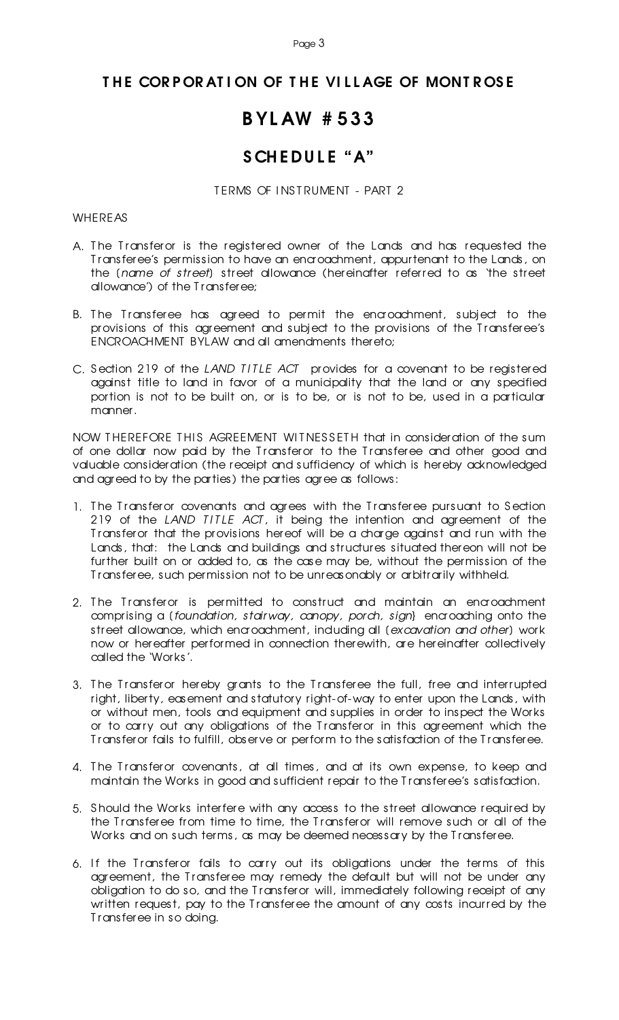#### Page 3

#### THE CORPORATION OF THE VILLAGE OF MONTROSE

# B YL AW # 533

# SCHEDULE "A"

TERMS OF INSTRUMENT - PART 2

#### WHEREAS

- A. The Transferor is the registered owner of the Lands and has requested the T ransferee's permission to have an encroachment, appurtenant to the Lands, on the [*name of street*] street allowance (hereinafter referred to as 'the street allowance') of the T ransferee;
- B. The Transferee has agreed to permit the encroachment, subject to the provisions of this agreement and subject to the provisions of the T ransferee's ENCROACHMENT BYLAW and all amendments thereto;
- C. Section 219 of the *LAND TITLE ACT* provides for a covenant to be registered against title to land in favor of a municipality that the land or any specified portion is not to be built on, or is to be, or is not to be, used in a particular manner.

NOW THEREFORE THIS AGREEMENT WITNESSETH that in consideration of the sum of one dollar now paid by the T ransferor to the T ransferee and other good and valuable consideration (the receipt and sufficiency of which is hereby acknowledged and agreed to by the parties) the parties agree as follows:

- 1. The Transferor covenants and agrees with the Transferee pursuant to Section 219 of the *LAND TITLE ACT*, it being the intention and agreement of the T ransferor that the provisions hereof will be a charge against and run with the Lands, that: the Lands and buildings and structures situated thereon will not be further built on or added to, as the case may be, without the permission of the T ransferee, such permission not to be unreasonably or arbitrarily withheld.
- 2. The Transferor is permitted to construct and maintain an encroachment comprising a (*foundation, stairway, canopy, porch, sign*} encroaching onto the street allowance, which encroachment, including all [*excavation and other*] work now or hereafter performed in connection therewith, are hereinafter collectively called the 'Works'.
- 3. The Transferor hereby grants to the Transferee the full, free and interrupted right, liberty, easement and statutory right-of-way to enter upon the Lands, with or without men, tools and equipment and supplies in order to inspect the Works or to carry out any obligations of the T ransferor in this agreement which the T ransferor fails to fulfill, observe or perform to the satisfaction of the T ransferee.
- 4. The Transferor covenants, at all times, and at its own expense, to keep and maintain the Works in good and sufficient repair to the T ransferee's satisfaction.
- 5. S hould the Works interfere with any access to the street allowance required by the Transferee from time to time, the Transferor will remove such or all of the Works and on such terms, as may be deemed necessary by the Transferee.
- 6. If the Transferor fails to carry out its obligations under the terms of this agreement, the T ransferee may remedy the default but will not be under any obligation to do so, and the T ransferor will, immediately following receipt of any written request, pay to the Transferee the amount of any costs incurred by the T ransferee in so doing.